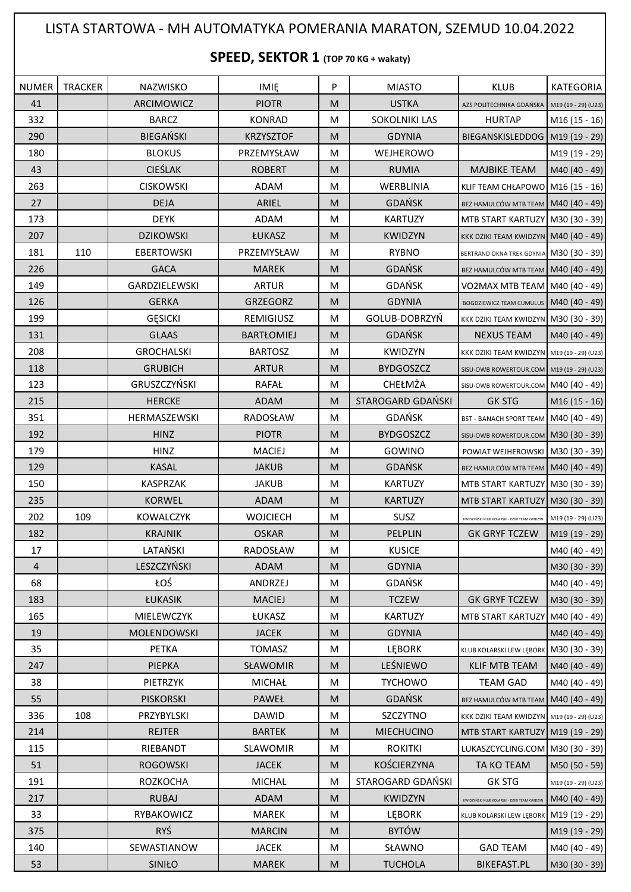## LISTA STARTOWA - MH AUTOMATYKA POMERANIA MARATON, SZEMUD 10.04.2022

## **SPEED, SEKTOR 1 (TOP 70 KG + wakaty)**

| <b>NUMER</b>   | <b>TRACKER</b> | <b>NAZWISKO</b>             | <b>IMIE</b>               | P      | <b>MIASTO</b>                 | <b>KLUB</b>                                        | KATEGORIA           |
|----------------|----------------|-----------------------------|---------------------------|--------|-------------------------------|----------------------------------------------------|---------------------|
| 41             |                | ARCIMOWICZ                  | <b>PIOTR</b>              | M      | <b>USTKA</b>                  | AZS POLITECHNIKA GDAŃSKA M19 (19 - 29) (U23)       |                     |
| 332            |                | <b>BARCZ</b>                | <b>KONRAD</b>             | M      | <b>SOKOLNIKI LAS</b>          | <b>HURTAP</b>                                      | M16 (15 - 16)       |
| 290            |                | <b>BIEGAŃSKI</b>            | <b>KRZYSZTOF</b>          | M      | <b>GDYNIA</b>                 | BIEGANSKISLEDDOG   M19 (19 - 29)                   |                     |
| 180            |                | <b>BLOKUS</b>               | PRZEMYSŁAW                | M      | WEJHEROWO                     |                                                    | M19 (19 - 29)       |
| 43             |                | <b>CIEŚLAK</b>              | <b>ROBERT</b>             | M      | <b>RUMIA</b>                  | <b>MAJBIKE TEAM</b>                                | M40 (40 - 49)       |
| 263            |                | <b>CISKOWSKI</b>            | ADAM                      | M      | WERBLINIA                     | KLIF TEAM CHŁAPOWO M16 (15 - 16)                   |                     |
| 27             |                | <b>DEJA</b>                 | ARIEL                     | M      | <b>GDAŃSK</b>                 | BEZ HAMULCÓW MTB TEAM   M40 (40 - 49)              |                     |
| 173            |                | <b>DEYK</b>                 | ADAM                      | M      | <b>KARTUZY</b>                | MTB START KARTUZY   M30 (30 - 39)                  |                     |
| 207            |                | <b>DZIKOWSKI</b>            | ŁUKASZ                    | M      | KWIDZYN                       | KKK DZIKI TEAM KWIDZYN M40 (40 - 49)               |                     |
| 181            | 110            | <b>EBERTOWSKI</b>           | PRZEMYSŁAW                | M      | <b>RYBNO</b>                  | BERTRAND OKNA TREK GDYNIA M30 (30 - 39)            |                     |
| 226            |                | <b>GACA</b>                 | <b>MAREK</b>              | M      | <b>GDAŃSK</b>                 | BEZ HAMULCÓW MTB TEAM M40 (40 - 49)                |                     |
| 149            |                | GARDZIELEWSKI               | <b>ARTUR</b>              | M      | GDAŃSK                        | VO2MAX MTB TEAM   M40 (40 - 49)                    |                     |
| 126            |                | <b>GERKA</b>                | <b>GRZEGORZ</b>           | M      | <b>GDYNIA</b>                 | BOGDZIEWICZ TEAM CUMULUS   M40 (40 - 49)           |                     |
| 199            |                | <b>GESICKI</b>              | REMIGIUSZ                 | M      | GOLUB-DOBRZYŃ                 | KKK DZIKI TEAM KWIDZYN M30 (30 - 39)               |                     |
| 131            |                | <b>GLAAS</b>                | <b>BARTŁOMIEJ</b>         | M      | <b>GDAŃSK</b>                 | <b>NEXUS TEAM</b>                                  | M40 (40 - 49)       |
| 208            |                | <b>GROCHALSKI</b>           | <b>BARTOSZ</b>            | M      | KWIDZYN                       | KKK DZIKI TEAM KWIDZYN M19 (19 - 29) (U23)         |                     |
| 118            |                | <b>GRUBICH</b>              | <b>ARTUR</b>              | M      | <b>BYDGOSZCZ</b>              | SISU-OWB ROWERTOUR.COM   M19 (19 - 29) (U23)       |                     |
| 123            |                | GRUSZCZYŃSKI                | RAFAŁ                     | M      | CHEŁMŻA                       | SISU-OWB ROWERTOUR.COM M40 (40 - 49)               |                     |
| 215            |                | <b>HERCKE</b>               | <b>ADAM</b>               | M      | STAROGARD GDAŃSKI             | <b>GK STG</b>                                      | M16 (15 - 16)       |
| 351            |                | HERMASZEWSKI                | RADOSŁAW                  | M      | <b>GDAŃSK</b>                 | BST - BANACH SPORT TEAM M40 (40 - 49)              |                     |
| 192            |                | <b>HINZ</b>                 | <b>PIOTR</b>              | M      | <b>BYDGOSZCZ</b>              | SISU-OWB ROWERTOUR.COM   M30 (30 - 39)             |                     |
| 179            |                | <b>HINZ</b>                 | <b>MACIEJ</b>             | M      | GOWINO                        | POWIAT WEJHEROWSKI   M30 (30 - 39)                 |                     |
| 129            |                | <b>KASAL</b>                | <b>JAKUB</b>              | M      | <b>GDAŃSK</b>                 | BEZ HAMULCÓW MTB TEAM   M40 (40 - 49)              |                     |
| 150            |                | <b>KASPRZAK</b>             | <b>JAKUB</b>              | M      | <b>KARTUZY</b>                | MTB START KARTUZY   M30 (30 - 39)                  |                     |
| 235            |                | <b>KORWEL</b>               | <b>ADAM</b>               | M      | <b>KARTUZY</b>                | MTB START KARTUZY   M30 (30 - 39)                  |                     |
| 202            | 109            | <b>KOWALCZYK</b>            | <b>WOJCIECH</b>           | M      | SUSZ                          | KWIDZYŃSKI KLUB KOLARSKI - DZIKI TEAM KWIDZYN      | M19 (19 - 29) (U23) |
| 182            |                | <b>KRAJNIK</b>              | <b>OSKAR</b>              | M      | PELPLIN                       | <b>GK GRYF TCZEW</b>                               | M19 (19 - 29)       |
| 17             |                | LATAŃSKI                    | RADOSŁAW                  | M      | <b>KUSICE</b>                 |                                                    | M40 (40 - 49)       |
| $\overline{4}$ |                | LESZCZYŃSKI                 | ADAM                      | M      | <b>GDYNIA</b>                 |                                                    | M30 (30 - 39)       |
| 68             |                | ŁOŚ                         | ANDRZEJ                   | M      | <b>GDAŃSK</b>                 |                                                    | M40 (40 - 49)       |
| 183            |                | ŁUKASIK                     | <b>MACIEJ</b>             | M      | <b>TCZEW</b>                  | <b>GK GRYF TCZEW</b>                               | M30 (30 - 39)       |
| 165            |                | MIELEWCZYK                  | ŁUKASZ                    | M      | <b>KARTUZY</b>                | MTB START KARTUZY M40 (40 - 49)                    |                     |
| 19<br>35       |                | MOLENDOWSKI                 | <b>JACEK</b>              | M      | <b>GDYNIA</b>                 |                                                    | M40 (40 - 49)       |
|                |                | <b>PETKA</b>                | <b>TOMASZ</b>             | M      | <b>LEBORK</b><br>LEŚNIEWO     | KLUB KOLARSKI LEW LĘBORK M30 (30 - 39)             |                     |
| 247<br>38      |                | <b>PIEPKA</b><br>PIETRZYK   | SŁAWOMIR<br><b>MICHAŁ</b> | M<br>M | <b>TYCHOWO</b>                | KLIF MTB TEAM<br><b>TEAM GAD</b>                   | M40 (40 - 49)       |
|                |                |                             |                           |        | <b>GDAŃSK</b>                 |                                                    | M40 (40 - 49)       |
| 55             |                | <b>PISKORSKI</b>            | PAWEŁ                     | M      |                               | BEZ HAMULCÓW MTB TEAM   M40 (40 - 49)              |                     |
| 336<br>214     | 108            | PRZYBYLSKI<br><b>REJTER</b> | DAWID<br><b>BARTEK</b>    | M<br>M | SZCZYTNO<br><b>MIECHUCINO</b> | KKK DZIKI TEAM KWIDZYN M19 (19 - 29) (U23)         |                     |
|                |                |                             |                           |        |                               | MTB START KARTUZY   M19 (19 - 29)                  |                     |
| 115<br>51      |                | RIEBANDT<br><b>ROGOWSKI</b> | SLAWOMIR<br><b>JACEK</b>  | M<br>M | <b>ROKITKI</b><br>KOŚCIERZYNA | LUKASZCYCLING.COM   M30 (30 - 39)                  |                     |
| 191            |                | ROZKOCHA                    | <b>MICHAL</b>             | M      | STAROGARD GDAŃSKI             | TA KO TEAM<br><b>GK STG</b>                        | M50 (50 - 59)       |
|                |                |                             |                           |        |                               |                                                    | M19 (19 - 29) (U23) |
| 217<br>33      |                | <b>RUBAJ</b>                | ADAM                      | M      | KWIDZYN                       | .<br>KWIDZYŃSKI KLUB KOLARSKI - DZIKI TEAM KWIDZYN | M40 (40 - 49)       |
|                |                | RYBAKOWICZ<br><b>RYŚ</b>    | MAREK                     | M      | LEBORK<br><b>BYTÓW</b>        | KLUB KOLARSKI LEW LĘBORK M19 (19 - 29)             |                     |
| 375<br>140     |                | SEWASTIANOW                 | <b>MARCIN</b>             | M      | SŁAWNO                        |                                                    | M19 (19 - 29)       |
|                |                |                             | <b>JACEK</b>              | M      |                               | <b>GAD TEAM</b>                                    | M40 (40 - 49)       |
| 53             |                | SINIŁO                      | <b>MAREK</b>              | M      | <b>TUCHOLA</b>                | <b>BIKEFAST.PL</b>                                 | M30 (30 - 39)       |